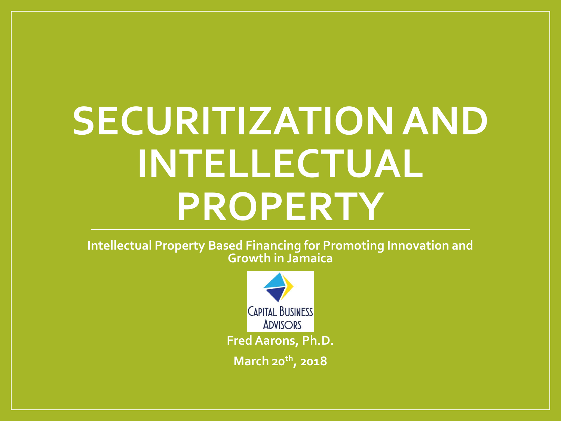# **SECURITIZATION AND INTELLECTUAL PROPERTY**

**Intellectual Property Based Financing for Promoting Innovation and Growth in Jamaica** 

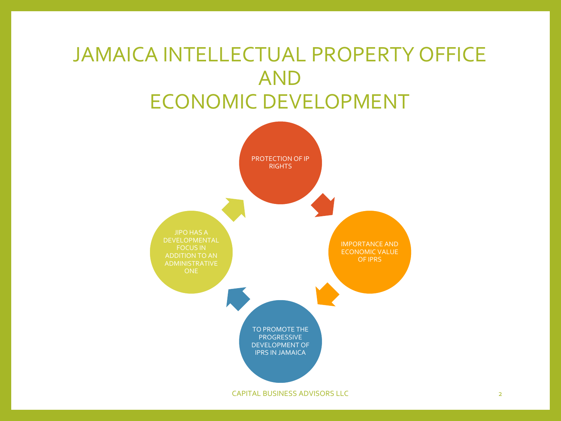### JAMAICA INTELLECTUAL PROPERTY OFFICE AND ECONOMIC DEVELOPMENT

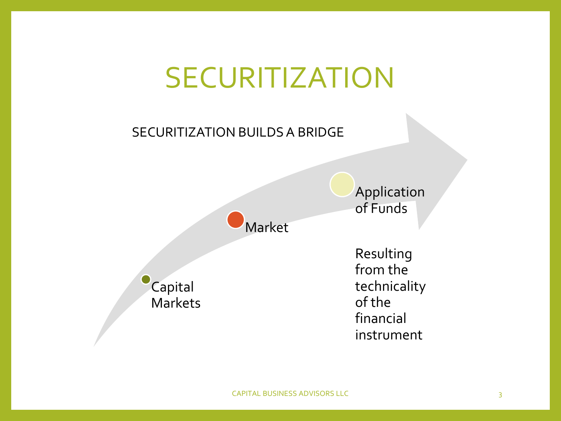### SECURITIZATION

#### SECURITIZATION BUILDS A BRIDGE

Market

Capital **Markets**  Resulting from the technicality of the financial instrument

Application

of Funds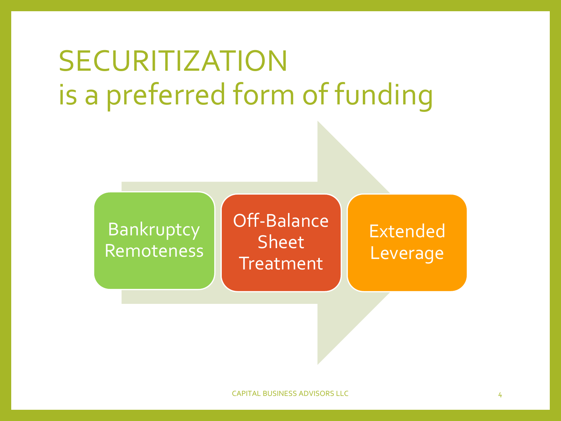### SECURITIZATION is a preferred form of funding

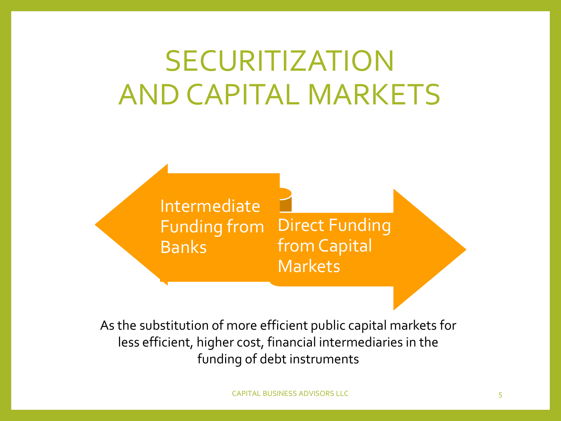### SECURITIZATION AND CAPITAL MARKETS

Intermediate Funding from Banks

Direct Funding from Capital Markets

As the substitution of more efficient public capital markets for less efficient, higher cost, financial intermediaries in the funding of debt instruments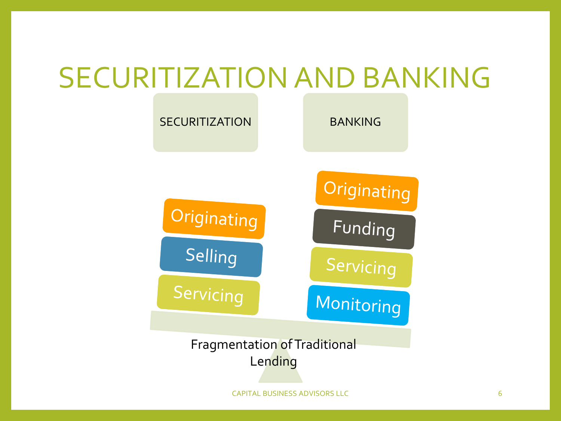### SECURITIZATION AND BANKING



CAPITAL BUSINESS ADVISORS LLC 6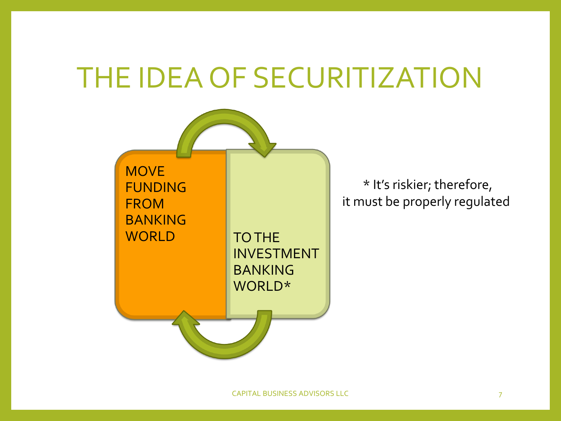### THE IDEA OF SECURITIZATION



\* It's riskier; therefore, it must be properly regulated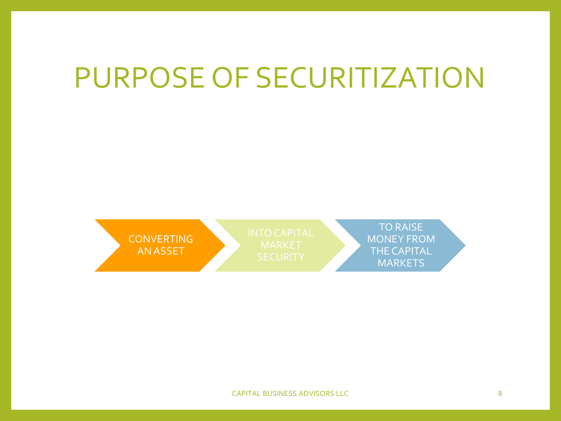### PURPOSE OF SECURITIZATION

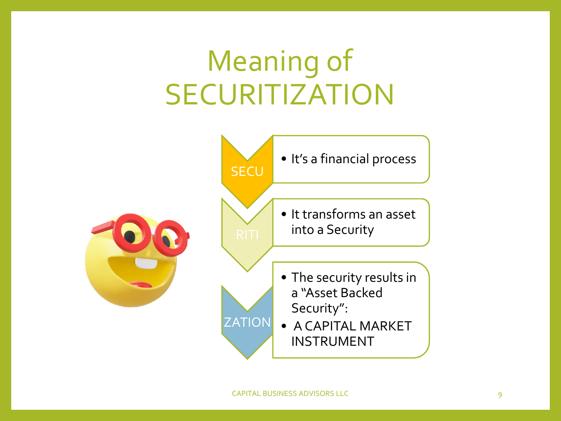## Meaning of SECURITIZATION

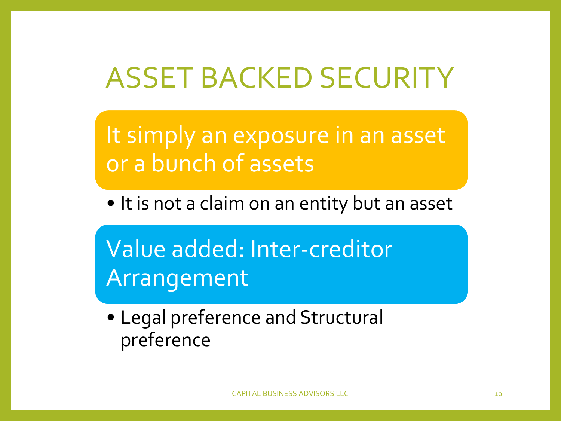### ASSET BACKED SECURITY

It simply an exposure in an asset or a bunch of assets

• It is not a claim on an entity but an asset

Value added: Inter-creditor Arrangement

• Legal preference and Structural preference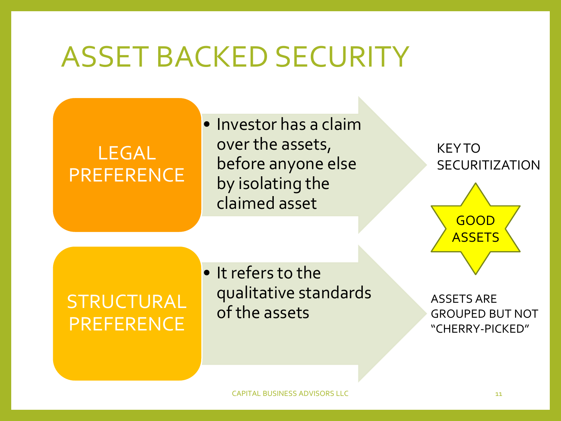### ASSET BACKED SECURITY

### LEGAL PREFERENCE

• Investor has a claim over the assets, before anyone else by isolating the claimed asset

**KEY TO SECURITIZATION** 



### **STRUCTURAL PREFERENCE**

• It refers to the qualitative standards<br>of the assets

ASSETS ARE GROUPED BUT NOT "CHERRY-PICKED"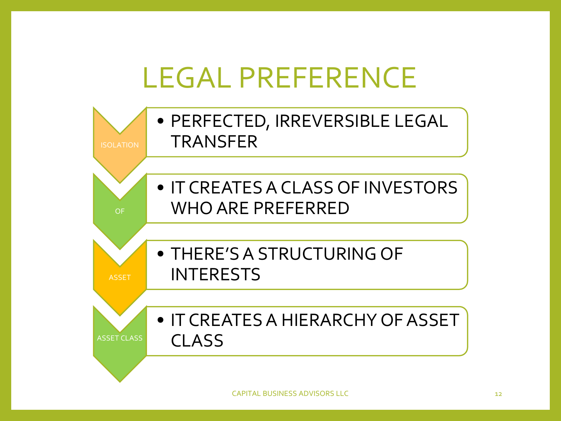### LEGAL PREFERENCE

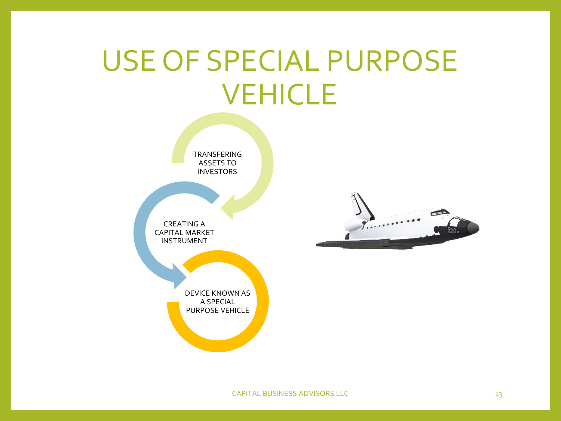### USE OF SPECIAL PURPOSE VEHICLE

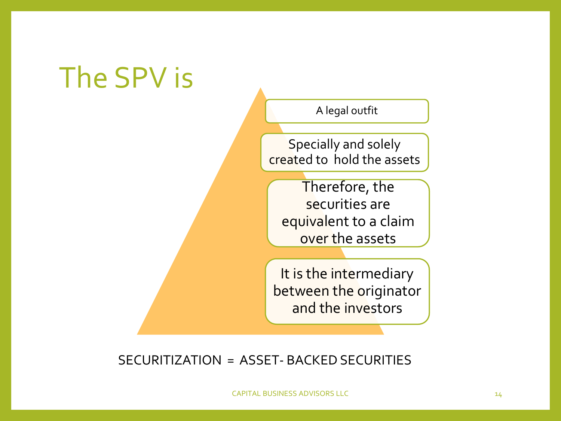### The SPV is

A legal outfit

Specially and solely created to hold the assets

Therefore, the securities are equivalent to a claim over the assets

It is the intermediary between the originator and the investors

SECURITIZATION = ASSET- BACKED SECURITIES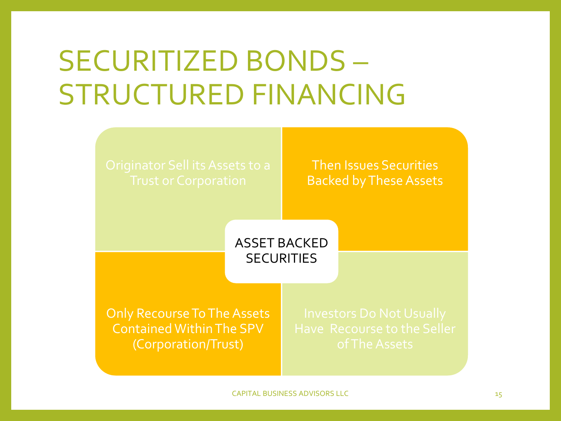### SECURITIZED BONDS – STRUCTURED FINANCING



Then Issues Securities Backed by These Assets

ASSET BACKED **SECURITIES** 

Only Recourse To The Assets Contained Within The SPV (Corporation/Trust)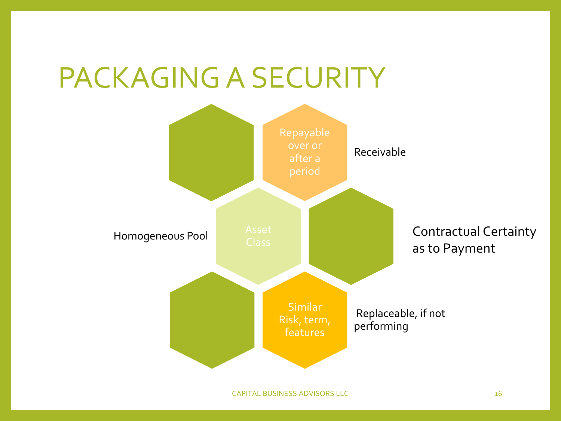### PACKAGING A SECURITY

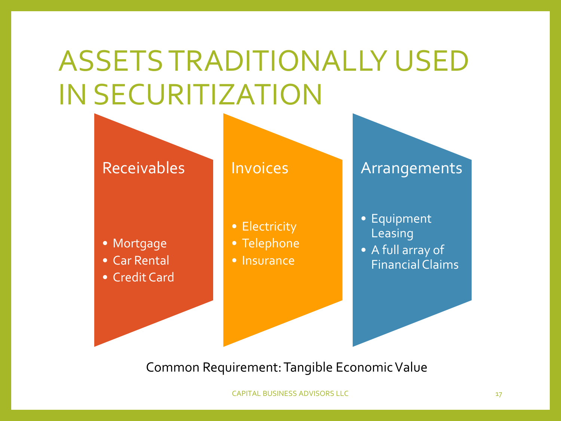## ASSETS TRADITIONALLY USED IN SECURITIZATION



Common Requirement: Tangible Economic Value

CAPITAL BUSINESS ADVISORS LLC 17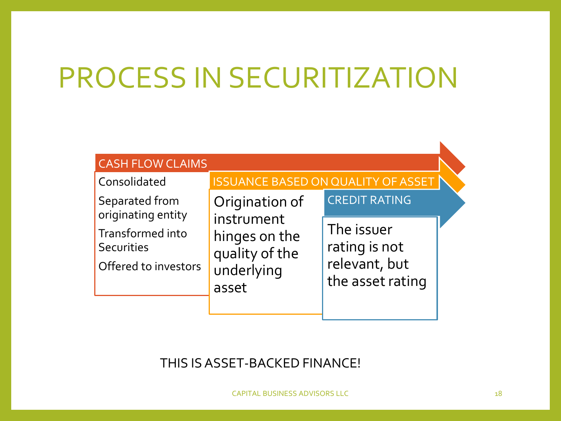## PROCESS IN SECURITIZATION

| <b>CASH FLOW CLAIMS</b>                                       |                                                                                        |                                                                  |  |  |  |
|---------------------------------------------------------------|----------------------------------------------------------------------------------------|------------------------------------------------------------------|--|--|--|
| Consolidated                                                  | <b>ISSUANCE BASED ON QUALITY OF ASSET</b>                                              |                                                                  |  |  |  |
| Separated from<br>originating entity                          | Origination of<br>instrument<br>hinges on the<br>quality of the<br>underlying<br>asset | CREDIT RATING                                                    |  |  |  |
| Transformed into<br><b>Securities</b><br>Offered to investors |                                                                                        | The issuer<br>rating is not<br>relevant, but<br>the asset rating |  |  |  |

#### THIS IS ASSET-BACKED FINANCE!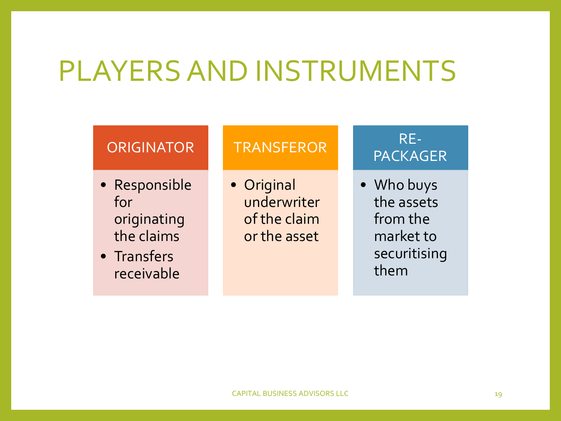### PLAYERS AND INSTRUMENTS

#### **ORIGINATOR**

- Responsible for originating the claims
- Transfers receivable

#### **TRANSFEROR**

• Original underwriter of the claim or the asset

#### RE-PACKAGER

• Who buys the assets from the market to securitising them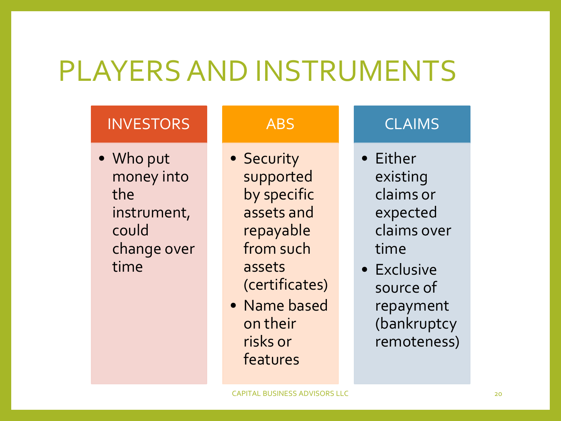### PLAYERS AND INSTRUMENTS

#### INVESTORS

• Who put money into the instrument, could change over time

#### ABS

- Security supported by specific assets and repayable from such assets (certificates)
- Name based on their risks or features

#### CLAIMS

- Either existing claims or expected claims over time
- Exclusive source of repayment (bankruptcy remoteness)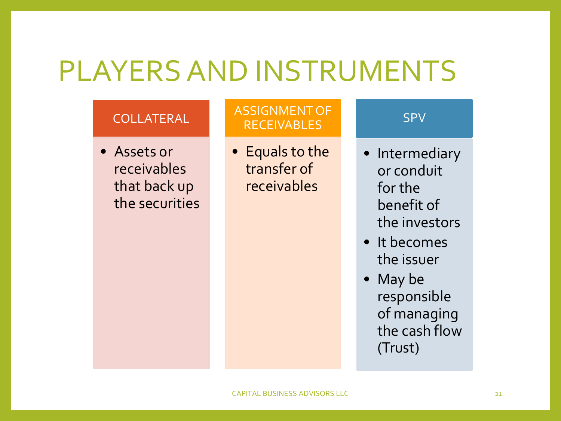### PLAYERS AND INSTRUMENTS

#### COLLATERAL

• Assets or receivables that back up the securities

#### ASSIGNMENT OF RECEIVABLES

• Equals to the transfer of receivables

#### SPV

- Intermediary or conduit for the benefit of the investors
- It becomes the issuer
- May be responsible of managing the cash flow (Trust)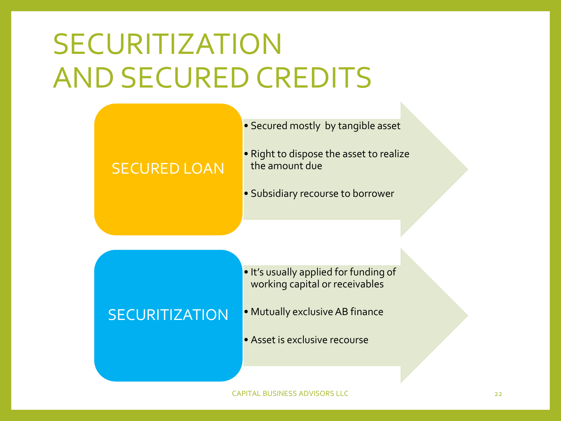## SECURITIZATION AND SECURED CREDITS

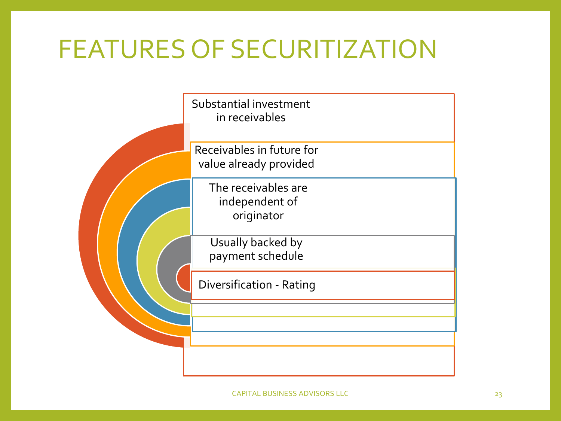### FEATURES OF SECURITIZATION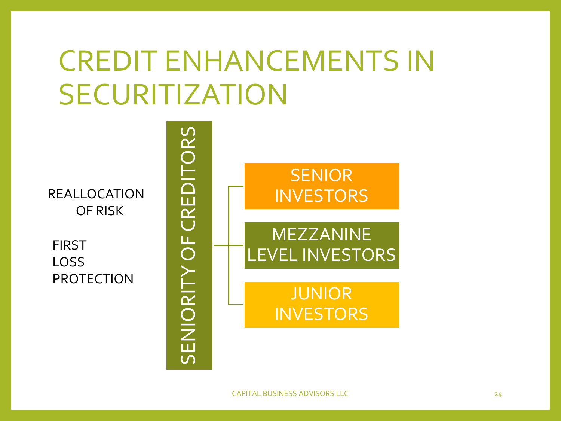### CREDIT ENHANCEMENTS IN SECURITIZATION

SENIORITY OF CREDITORS

**SENIORITY OF** 

CREDITORS

REALLOCATION OF RISK

FIRST LOSS PROTECTION

**SENIOR** INVESTORS MEZZANINE LEVEL INVESTORS JUNIOR

**INVESTORS**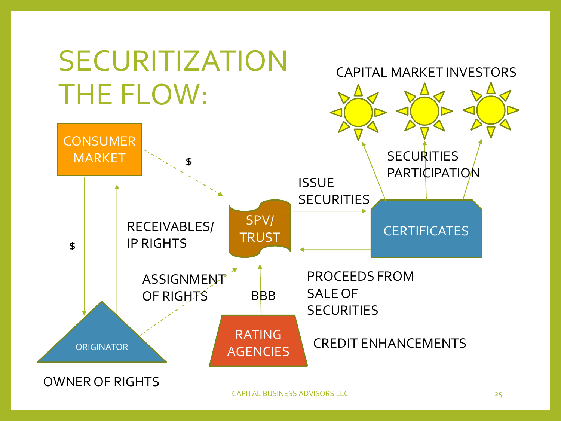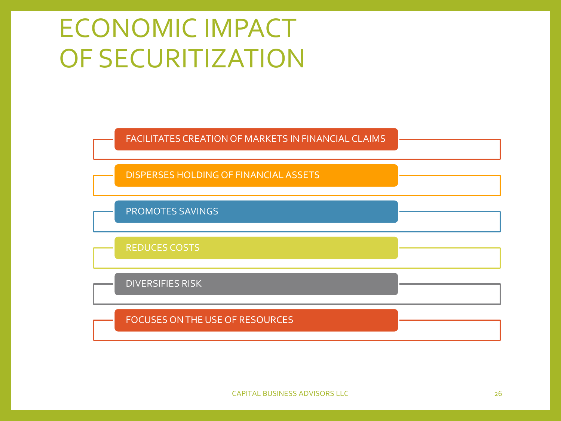### ECONOMIC IMPACT OF SECURITIZATION

FACILITATES CREATION OF MARKETS IN FINANCIAL CLAIMS

DISPERSES HOLDING OF FINANCIAL ASSETS

PROMOTES SAVINGS

REDUCES COSTS

DIVERSIFIES RISK

FOCUSES ON THE USE OF RESOURCES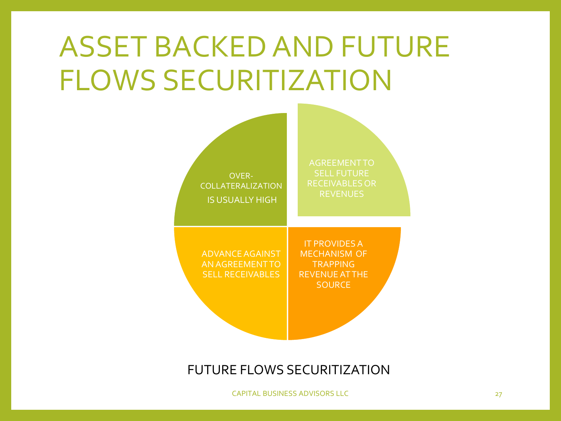## ASSET BACKED AND FUTURE FLOWS SECURITIZATION



#### FUTURE FLOWS SECURITIZATION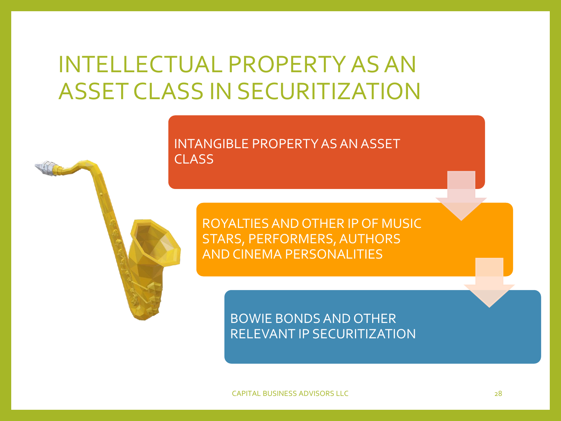### INTELLECTUAL PROPERTY AS AN ASSET CLASS IN SECURITIZATION

#### INTANGIBLE PROPERTY AS AN ASSET CLASS

ROYALTIES AND OTHER IP OF MUSIC STARS, PERFORMERS, AUTHORS AND CINEMA PERSONALITIES

> BOWIE BONDS AND OTHER RELEVANT IP SECURITIZATION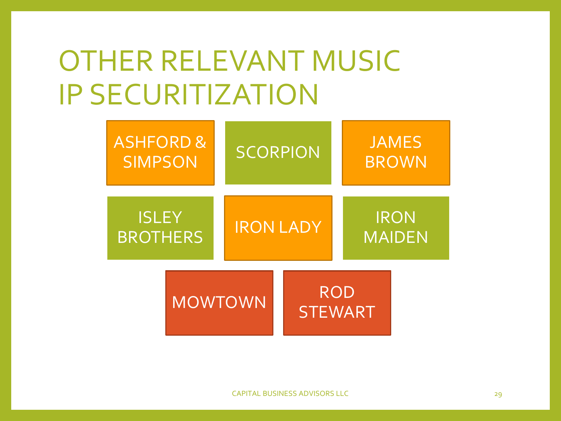### OTHER RELEVANT MUSIC IP SECURITIZATION

| <b>ASHFORD &amp;</b><br><b>SIMPSON</b> |                | <b>SCORPION</b>  |                              | <b>JAMES</b><br><b>BROWN</b> |  |
|----------------------------------------|----------------|------------------|------------------------------|------------------------------|--|
| <b>ISLEY</b><br><b>BROTHERS</b>        |                | <b>IRON LADY</b> |                              | <b>IRON</b><br><b>MAIDEN</b> |  |
|                                        | <b>MOWTOWN</b> |                  | <b>ROD</b><br><b>STEWART</b> |                              |  |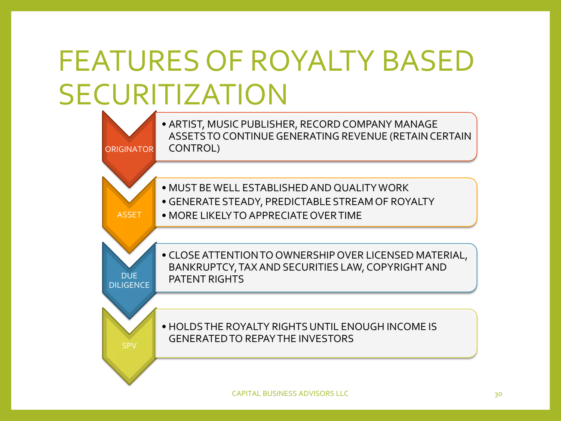## FEATURES OF ROYALTY BASED SECURITIZATION

ORIGINATOR • ARTIST, MUSIC PUBLISHER, RECORD COMPANY MANAGE ASSETS TO CONTINUE GENERATING REVENUE (RETAIN CERTAIN CONTROL)

- MUST BE WELL ESTABLISHED AND QUALITY WORK
- GENERATE STEADY, PREDICTABLE STREAM OF ROYALTY
- MORE LIKELY TO APPRECIATE OVER TIME

ASSET

DUE DILIGENCE • CLOSE ATTENTION TO OWNERSHIP OVER LICENSED MATERIAL, BANKRUPTCY, TAX AND SECURITIES LAW, COPYRIGHT AND PATENT RIGHTS

• HOLDS THE ROYALTY RIGHTS UNTIL ENOUGH INCOME IS GENERATED TO REPAY THE INVESTORS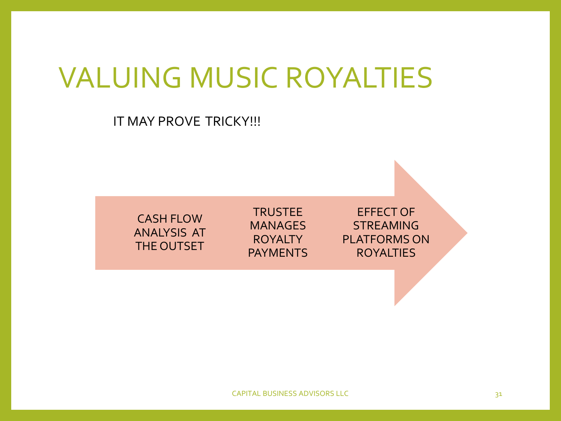### VALUING MUSIC ROYALTIES

#### IT MAY PROVE TRICKY!!!

CASH FLOW ANALYSIS AT THE OUTSET

TRUSTEE **MANAGES** ROYALTY PAYMENTS

EFFECT OF STREAMING PLATFORMS ON ROYALTIES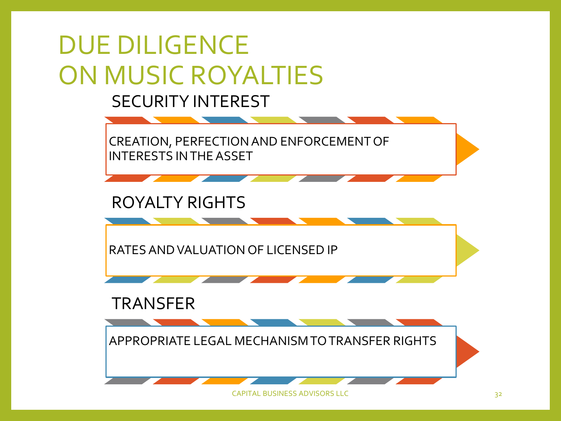

CAPITAL BUSINESS ADVISORS LLC 32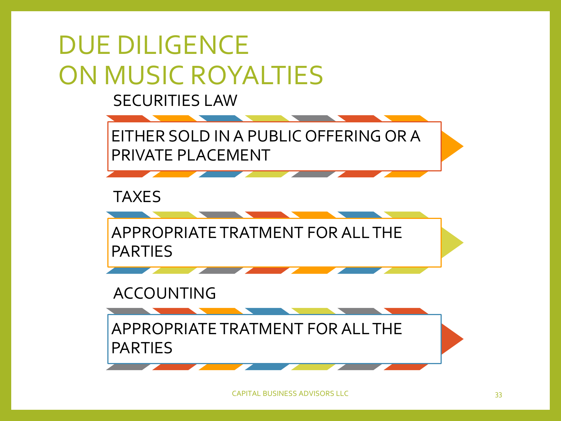### DUE DILIGENCE ON MUSIC ROYALTIES

SECURITIES LAW

EITHER SOLD IN A PUBLIC OFFERING OR A PRIVATE PLACEMENT

TAXES

APPROPRIATE TRATMENT FOR ALL THE PARTIES

ACCOUNTING

APPROPRIATE TRATMENT FOR ALL THE PARTIES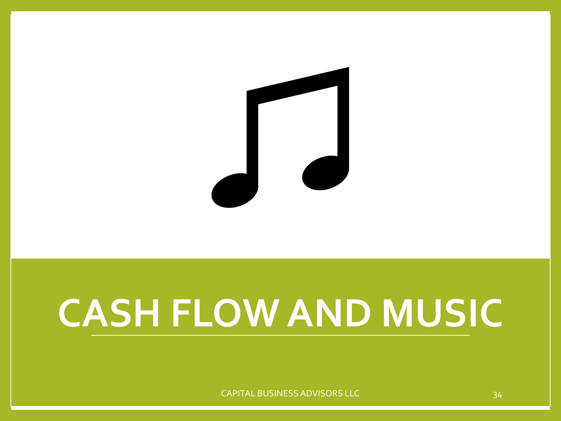

# **CASH FLOW AND MUSIC**

CAPITAL BUSINESS ADVISORS LLC 34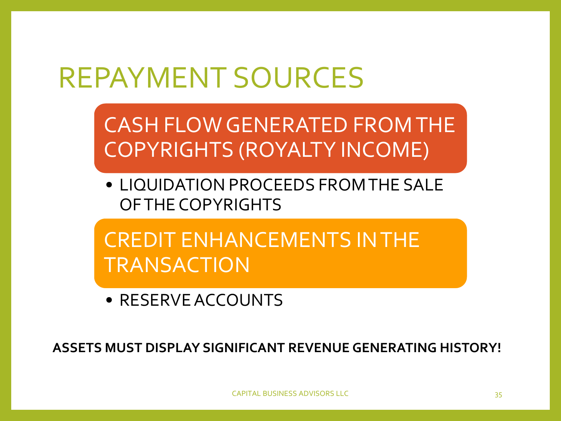### REPAYMENT SOURCES

CASH FLOW GENERATED FROM THE COPYRIGHTS (ROYALTY INCOME)

• LIQUIDATION PROCEEDS FROM THE SALE OF THE COPYRIGHTS

CREDIT ENHANCEMENTS IN THE TRANSACTION

• RESERVE ACCOUNTS

**ASSETS MUST DISPLAY SIGNIFICANT REVENUE GENERATING HISTORY!**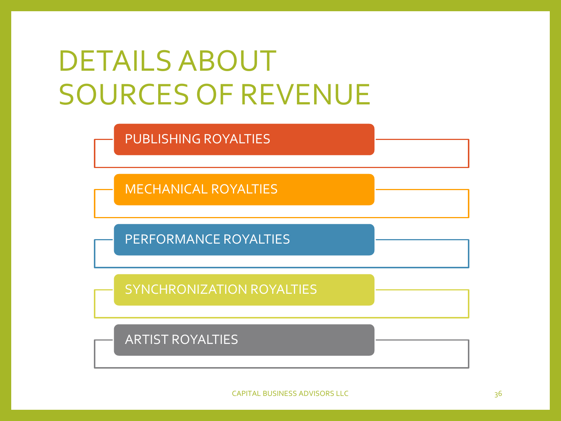### DETAILS ABOUT SOURCES OF REVENUE

PUBLISHING ROYALTIES

MECHANICAL ROYALTIES

PERFORMANCE ROYALTIES

SYNCHRONIZATION ROYALTIES

ARTIST ROYALTIES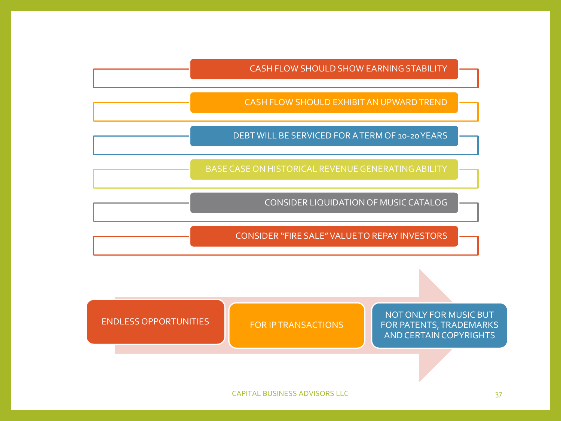CASH FLOW SHOULD SHOW EARNING STABILITY

CASH FLOW SHOULD EXHIBIT AN UPWARD TREND

DEBT WILL BE SERVICED FOR A TERM OF 10-20 YEARS

BASE CASE ON HISTORICAL REVENUE GENERATING ABILITY

CONSIDER LIQUIDATION OF MUSIC CATALOG

CONSIDER "FIRE SALE" VALUE TO REPAY INVESTORS

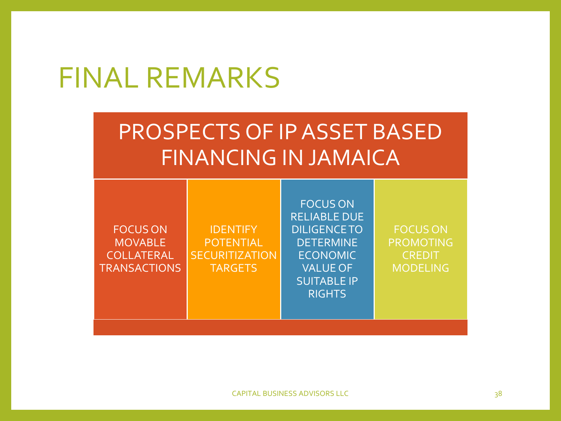### FINAL REMARKS

### PROSPECTS OF IP ASSET BASED FINANCING IN JAMAICA

| <b>FOCUS ON</b><br><b>RELIABLE DUE</b><br><b>DILIGENCE TO</b><br><b>FOCUS ON</b><br><b>FOCUS ON</b><br><b>IDENTIFY</b><br><b>DETERMINE</b><br>PROMOTING<br><b>MOVABLE</b><br><b>POTENTIAL</b><br>COLLATERAL<br><b>SECURITIZATION</b><br><b>ECONOMIC</b><br><b>CREDIT</b><br><b>VALUE OF</b><br><b>TRANSACTIONS</b><br><b>TARGETS</b><br><b>MODELING</b><br><b>SUITABLE IP</b><br><b>RIGHTS</b> |
|------------------------------------------------------------------------------------------------------------------------------------------------------------------------------------------------------------------------------------------------------------------------------------------------------------------------------------------------------------------------------------------------|
|------------------------------------------------------------------------------------------------------------------------------------------------------------------------------------------------------------------------------------------------------------------------------------------------------------------------------------------------------------------------------------------------|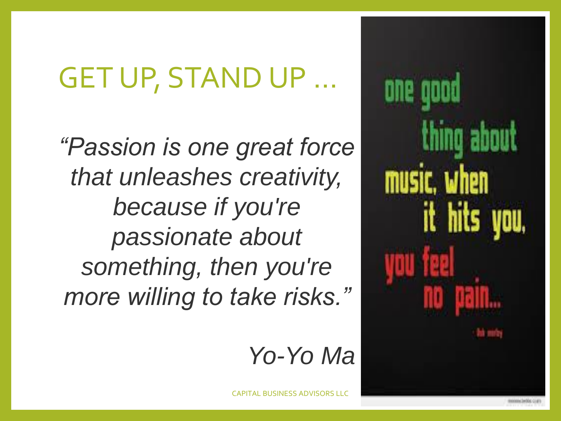### **GET UP, STAND UP**

*"Passion is one great force that unleashes creativity, because if you're passionate about something, then you're more willing to take risks."*

### *Yo-Yo Ma*